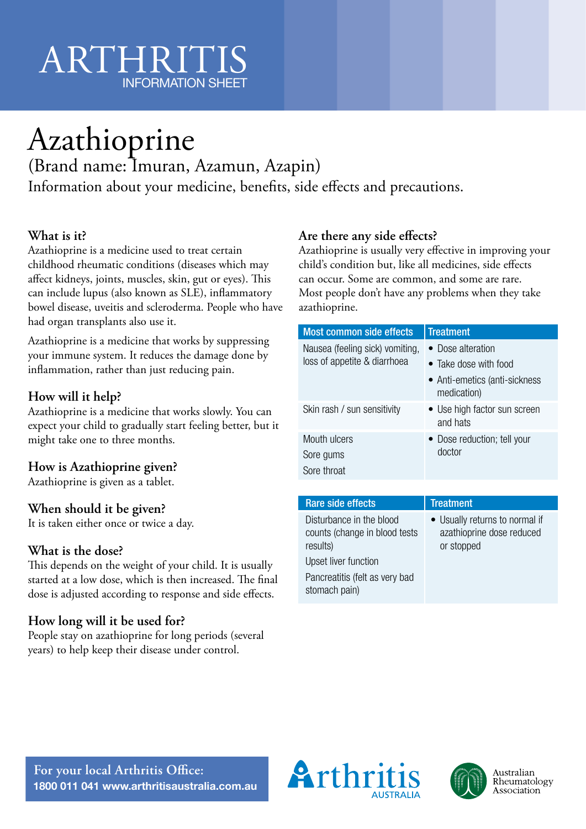# ARTHRIT INFORMATION SHEET

# Azathioprine

(Brand name: Imuran, Azamun, Azapin)

Information about your medicine, benefits, side effects and precautions.

# **What is it?**

Azathioprine is a medicine used to treat certain childhood rheumatic conditions (diseases which may affect kidneys, joints, muscles, skin, gut or eyes). This can include lupus (also known as SLE), inflammatory bowel disease, uveitis and scleroderma. People who have had organ transplants also use it.

Azathioprine is a medicine that works by suppressing your immune system. It reduces the damage done by inflammation, rather than just reducing pain.

# **How will it help?**

Azathioprine is a medicine that works slowly. You can expect your child to gradually start feeling better, but it might take one to three months.

# **How is Azathioprine given?**

Azathioprine is given as a tablet.

#### **When should it be given?**

It is taken either once or twice a day.

#### **What is the dose?**

This depends on the weight of your child. It is usually started at a low dose, which is then increased. The final dose is adjusted according to response and side effects.

# **How long will it be used for?**

People stay on azathioprine for long periods (several years) to help keep their disease under control.

#### **Are there any side effects?**

Azathioprine is usually very effective in improving your child's condition but, like all medicines, side effects can occur. Some are common, and some are rare. Most people don't have any problems when they take azathioprine.

| <b>Most common side effects</b>                                 | <b>Treatment</b>                             |
|-----------------------------------------------------------------|----------------------------------------------|
| Nausea (feeling sick) vomiting,<br>loss of appetite & diarrhoea | • Dose alteration                            |
|                                                                 | • Take dose with food                        |
|                                                                 | • Anti-emetics (anti-sickness<br>medication) |
| Skin rash / sun sensitivity                                     | • Use high factor sun screen<br>and hats     |
| Mouth ulcers                                                    | • Dose reduction; tell your                  |
| Sore gums                                                       | doctor                                       |
| Sore throat                                                     |                                              |

| Rare side effects                                                     | Treatment                                                                 |
|-----------------------------------------------------------------------|---------------------------------------------------------------------------|
| Disturbance in the blood<br>counts (change in blood tests<br>results) | • Usually returns to normal if<br>azathioprine dose reduced<br>or stopped |
| Upset liver function                                                  |                                                                           |
| Pancreatitis (felt as very bad<br>stomach pain)                       |                                                                           |